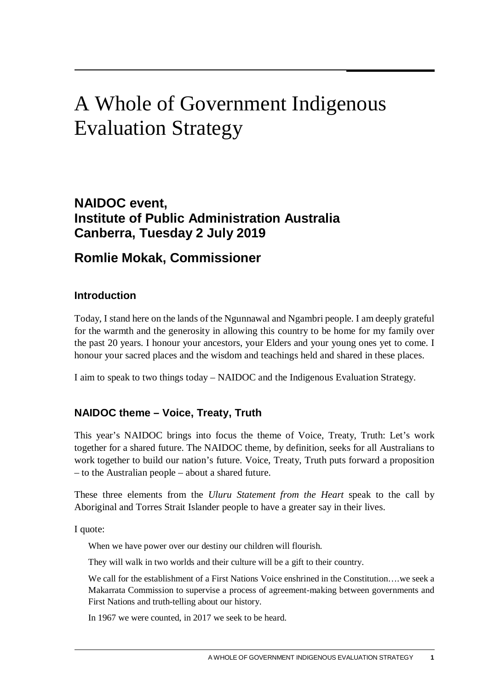# A Whole of Government Indigenous Evaluation Strategy

# **NAIDOC event, Institute of Public Administration Australia Canberra, Tuesday 2 July 2019**

# **Romlie Mokak, Commissioner**

#### **Introduction**

Today, I stand here on the lands of the Ngunnawal and Ngambri people. I am deeply grateful for the warmth and the generosity in allowing this country to be home for my family over the past 20 years. I honour your ancestors, your Elders and your young ones yet to come. I honour your sacred places and the wisdom and teachings held and shared in these places.

I aim to speak to two things today – NAIDOC and the Indigenous Evaluation Strategy.

## **NAIDOC theme – Voice, Treaty, Truth**

This year's NAIDOC brings into focus the theme of Voice, Treaty, Truth: Let's work together for a shared future. The NAIDOC theme, by definition, seeks for all Australians to work together to build our nation's future. Voice, Treaty, Truth puts forward a proposition – to the Australian people – about a shared future.

These three elements from the *Uluru Statement from the Heart* speak to the call by Aboriginal and Torres Strait Islander people to have a greater say in their lives.

I quote:

When we have power over our destiny our children will flourish.

They will walk in two worlds and their culture will be a gift to their country.

We call for the establishment of a First Nations Voice enshrined in the Constitution….we seek a Makarrata Commission to supervise a process of agreement-making between governments and First Nations and truth-telling about our history.

In 1967 we were counted, in 2017 we seek to be heard.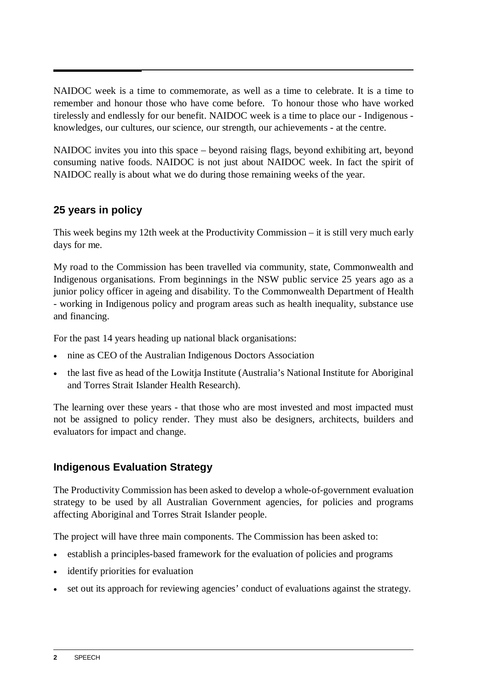NAIDOC week is a time to commemorate, as well as a time to celebrate. It is a time to remember and honour those who have come before. To honour those who have worked tirelessly and endlessly for our benefit. NAIDOC week is a time to place our - Indigenous knowledges, our cultures, our science, our strength, our achievements - at the centre.

NAIDOC invites you into this space – beyond raising flags, beyond exhibiting art, beyond consuming native foods. NAIDOC is not just about NAIDOC week. In fact the spirit of NAIDOC really is about what we do during those remaining weeks of the year.

#### **25 years in policy**

This week begins my 12th week at the Productivity Commission – it is still very much early days for me.

My road to the Commission has been travelled via community, state, Commonwealth and Indigenous organisations. From beginnings in the NSW public service 25 years ago as a junior policy officer in ageing and disability. To the Commonwealth Department of Health - working in Indigenous policy and program areas such as health inequality, substance use and financing.

For the past 14 years heading up national black organisations:

- nine as CEO of the Australian Indigenous Doctors Association
- the last five as head of the Lowitia Institute (Australia's National Institute for Aboriginal and Torres Strait Islander Health Research).

The learning over these years - that those who are most invested and most impacted must not be assigned to policy render. They must also be designers, architects, builders and evaluators for impact and change.

#### **Indigenous Evaluation Strategy**

The Productivity Commission has been asked to develop a whole-of-government evaluation strategy to be used by all Australian Government agencies, for policies and programs affecting Aboriginal and Torres Strait Islander people.

The project will have three main components. The Commission has been asked to:

- establish a principles-based framework for the evaluation of policies and programs
- identify priorities for evaluation
- set out its approach for reviewing agencies' conduct of evaluations against the strategy.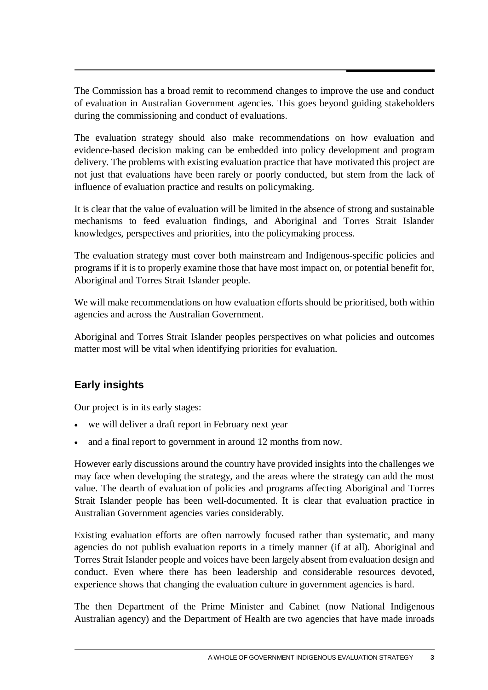The Commission has a broad remit to recommend changes to improve the use and conduct of evaluation in Australian Government agencies. This goes beyond guiding stakeholders during the commissioning and conduct of evaluations.

The evaluation strategy should also make recommendations on how evaluation and evidence-based decision making can be embedded into policy development and program delivery. The problems with existing evaluation practice that have motivated this project are not just that evaluations have been rarely or poorly conducted, but stem from the lack of influence of evaluation practice and results on policymaking.

It is clear that the value of evaluation will be limited in the absence of strong and sustainable mechanisms to feed evaluation findings, and Aboriginal and Torres Strait Islander knowledges, perspectives and priorities, into the policymaking process.

The evaluation strategy must cover both mainstream and Indigenous-specific policies and programs if it is to properly examine those that have most impact on, or potential benefit for, Aboriginal and Torres Strait Islander people.

We will make recommendations on how evaluation efforts should be prioritised, both within agencies and across the Australian Government.

Aboriginal and Torres Strait Islander peoples perspectives on what policies and outcomes matter most will be vital when identifying priorities for evaluation.

## **Early insights**

Our project is in its early stages:

- we will deliver a draft report in February next year
- and a final report to government in around 12 months from now.

However early discussions around the country have provided insights into the challenges we may face when developing the strategy, and the areas where the strategy can add the most value. The dearth of evaluation of policies and programs affecting Aboriginal and Torres Strait Islander people has been well-documented. It is clear that evaluation practice in Australian Government agencies varies considerably.

Existing evaluation efforts are often narrowly focused rather than systematic, and many agencies do not publish evaluation reports in a timely manner (if at all). Aboriginal and Torres Strait Islander people and voices have been largely absent from evaluation design and conduct. Even where there has been leadership and considerable resources devoted, experience shows that changing the evaluation culture in government agencies is hard.

The then Department of the Prime Minister and Cabinet (now National Indigenous Australian agency) and the Department of Health are two agencies that have made inroads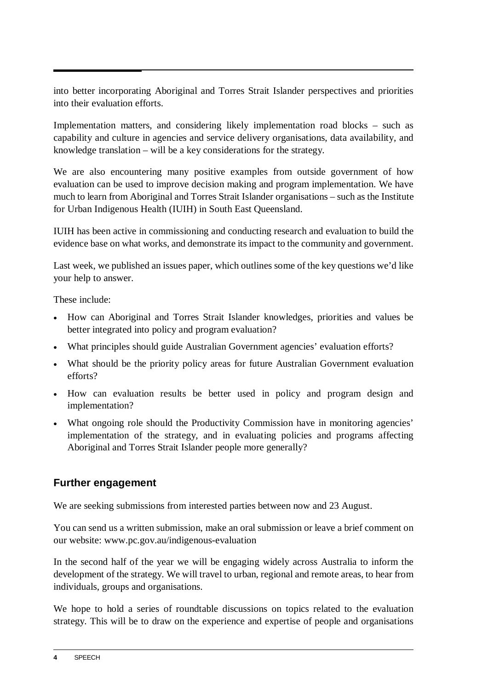into better incorporating Aboriginal and Torres Strait Islander perspectives and priorities into their evaluation efforts.

Implementation matters, and considering likely implementation road blocks – such as capability and culture in agencies and service delivery organisations, data availability, and knowledge translation – will be a key considerations for the strategy.

We are also encountering many positive examples from outside government of how evaluation can be used to improve decision making and program implementation. We have much to learn from Aboriginal and Torres Strait Islander organisations – such as the Institute for Urban Indigenous Health (IUIH) in South East Queensland.

IUIH has been active in commissioning and conducting research and evaluation to build the evidence base on what works, and demonstrate its impact to the community and government.

Last week, we published an issues paper, which outlines some of the key questions we'd like your help to answer.

These include:

- How can Aboriginal and Torres Strait Islander knowledges, priorities and values be better integrated into policy and program evaluation?
- What principles should guide Australian Government agencies' evaluation efforts?
- What should be the priority policy areas for future Australian Government evaluation efforts?
- How can evaluation results be better used in policy and program design and implementation?
- What ongoing role should the Productivity Commission have in monitoring agencies' implementation of the strategy, and in evaluating policies and programs affecting Aboriginal and Torres Strait Islander people more generally?

#### **Further engagement**

We are seeking submissions from interested parties between now and 23 August.

You can send us a written submission, make an oral submission or leave a brief comment on our website: www.pc.gov.au/indigenous-evaluation

In the second half of the year we will be engaging widely across Australia to inform the development of the strategy. We will travel to urban, regional and remote areas, to hear from individuals, groups and organisations.

We hope to hold a series of roundtable discussions on topics related to the evaluation strategy. This will be to draw on the experience and expertise of people and organisations